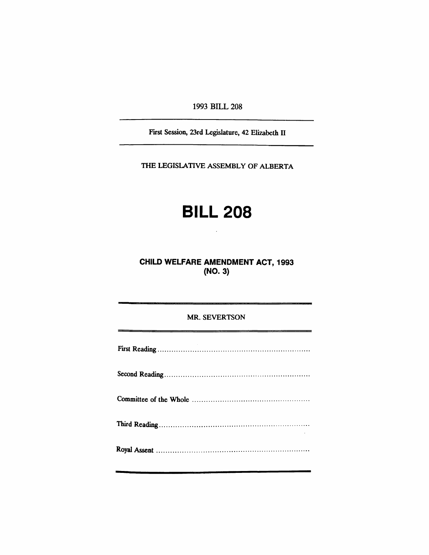1993 BILL 208

First Session, 23rd Legislature, 42 Elizabeth II

THE LEGISLATIVE ASSEMBLY OF ALBERTA

# BILL 208

CHILD WELFARE AMENDMENT ACT, 1993 (NO.3)

### MR. SEVERTSON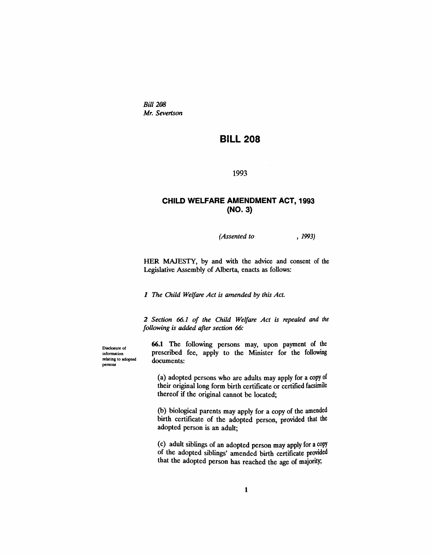*Bill 208* Mr. *Severtson*

# **BILL 208**

#### 1993

## **CHILD WELFARE AMENDMENT ACT, 1993 (NO.3)**

*(Assented to* , 1993)

HER MAJESTY, by and with the advice and consent of the Legislative Assembly of Alberta, enacts as follows:

*1 The Child Welfare Act is amended* by *this Act.*

*2 Section* 66.1 *of the Child Welfare Act is repealed and the following is added after section 66:*

Disclosure of information relating to adopted persons

66.1 The following persons may, upon payment of the prescribed fee, apply to the Minister for the following documents:

(a) adopted persons who are adults may apply for a copy of their original long form birth certificate or certified facsimile thereof if the original cannot be located;

(b) biological parents may apply for a copy of the amended birth certificate of the adopted person, provided that the adopted person is an adult;

(c) adult siblings of an adopted person may apply for a copy of the adopted siblings' amended birth certificate provided that the adopted person has reached the age of majority;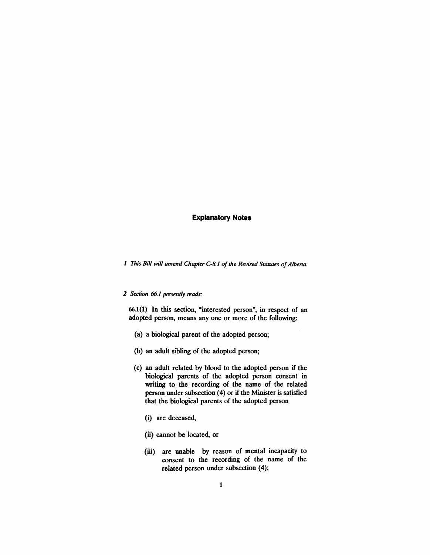# **Explanatory Notes**

*1 This Bill will amend Chapter C-8.1 of the Revised Statutes of Alberta.* 

#### *2 Section* 66.1 *presently reads:*

66.1(1) In this section, "interested person", in respect of an adopted person, means anyone or more of the following:

- (a) a biological parent of the adopted person;
- (b) an adult sibling of the adopted person;
- (c) an adult related by blood to the adopted person if the biological parents of the adopted person consent in writing to the recording of the name of the related person under subsection (4) or if the Minister is satisfied that the biological parents of the adopted person
	- (i) are deceased,
	- (ii) cannot be located, or
	- (iii) are unable by reason of mental incapacity to consent to the recording of the name of the related person under subsection (4);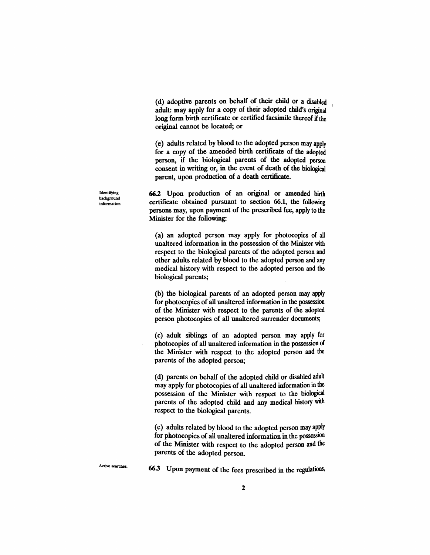(d) adoptive parents on behalf of their child or a disabled adult: may apply for a copy of their adopted child's original long form birth certificate or certified facsimile thereof if the original cannot be located; or

(e) adults related by blood to the adopted person may apply for a copy of. the amended birth certificate of the adopted person, if the biological parents of the adopted person consent in writing or, in the event of death of the biological parent, upon production of a death certificate.

66.2 Upon production of an original or amended birth certificate obtained pursuant to section 66.1, the following persons may, upon payment of the prescribed fee, apply to the Minister for the following:

(a) an adopted person may apply for photocopies of all unaltered information in the possession of the Minister with respect to the biological parents of the adopted person and other adults related by blood to the adopted person and any medical history with respect to the adopted person and the biological parents;

(b) the biological parents of an adopted person may apply for photocopies of all unaltered information in the possession of the Minister with respect to the parents of the adopted person photocopies of all unaltered surrender documents;

(c) adult siblings of an adopted person may apply for photocopies of all unaltered information in the possession of the Minister with respect to the adopted person and the parents of the adopted person;

(d) parents on behalf of the adopted child or disabled adult may apply for photocopies of all unaltered information in the possession of the Minister with respect to the biological parents of the adopted child and any medical history with respect to the biological parents.

(e) adults related by blood to the adopted person may apply for photocopies of all unaltered information in the possession of the Minister with respect to the adopted person and the parents of the adopted person.

66.3 Upon payment of the fees prescribed in the regulations,

Identifying background information

Active searcba.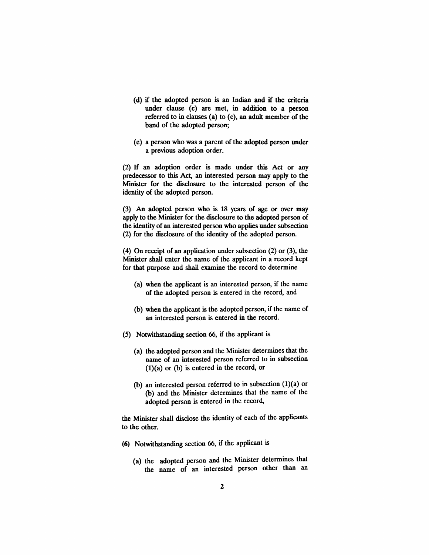- (d) if the adopted person is an Indian and if the criteria under clause (c) are met, in addition to a person referred to in clauses (a) to (c), an adult member of the band of the adopted person;
- (e) a person who was a parent of the adopted person under a previous adoption order.

(2) H an adoption order is made under this Act or any predecessor to this Act, an interested person may apply to the Minister for the disclosure to the interested person of the identity of the adopted person.

(3) An adopted person who is 18 years of age or over may apply to the Minister for the disclosure to the adopted person of the identity of an interested person who applies under subsection (2) for the disclosure of the identity of the adopted person.

(4) On receipt of an application under subsection (2) or (3), the Minister shall enter the name of the applicant in a record kept for that purpose and shall examine the record to determine

- (a) when the applicant is an interested person, if the name of the adopted person is entered in the record, and
- (b) when the applicant is the adopted person, if the name of an interested person is entered in the record.
- (5) Notwithstanding section 66, if the applicant is
	- (a) the adopted person and the Minister determines that the name of an interested person referred to in subsection (1)(a) or (b) is entered in the record, or
	- (b) an interested person referred to in subsection (1)(a) or (b) and the Minister determines that the name of the adopted person is entered in the record,

the Minister shall disclose the identity of each of the applicants to the other.

- (6) Notwithstanding section 66, if the applicant is
	- (a) the adopted person and the Minister determines that the name of an interested person other than an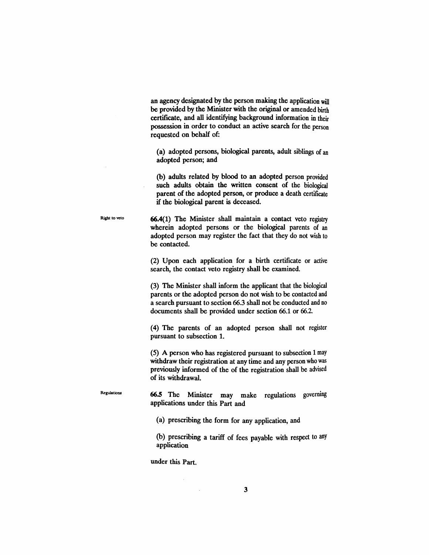an agency designated by the person making the application will be provided by the Minister with the original or amended birth certificate, and all identifying background information in their possession in order to conduct an active search for the person requested on behalf of:

(a) adopted persons, biological parents, adult siblings of an adopted person; and

(b) adults related by blood to an adopted person provided such adults obtain the written consent of the biological parent of the adopted person, or produce a death certificate if the biological parent is deceased.

66.4(1) The Minister shall maintain a contact veto registry wherein adopted persons or the biological parents of an adopted person may register the fact that they do not wish to be contacted.

(2) Upon each application for a birth certificate or active search, the contact veto registry shall be examined.

(3) The Minister shall inform the applicant that the biological parents or the adopted person do not wish to be contacted and a search pursuant to section 66.3 shall not be conducted and no documents shall be provided under section 66.1 or 66.2.

(4) The parents of an adopted person shall not register pursuant to subsection 1.

(5) A person who has registered pursuant to subsection 1may withdraw their registration at any time and any person who was previously informed of the of the registration shall be advised of its withdrawal.

66.5 The Minister may make regulations governing applications under this Part and

(a) prescribing the form for any application, and

(b) prescribing a tariff of fees payable with respect to any application

under this Part.

 $\Delta \phi$ 

Right to veto

Regulations